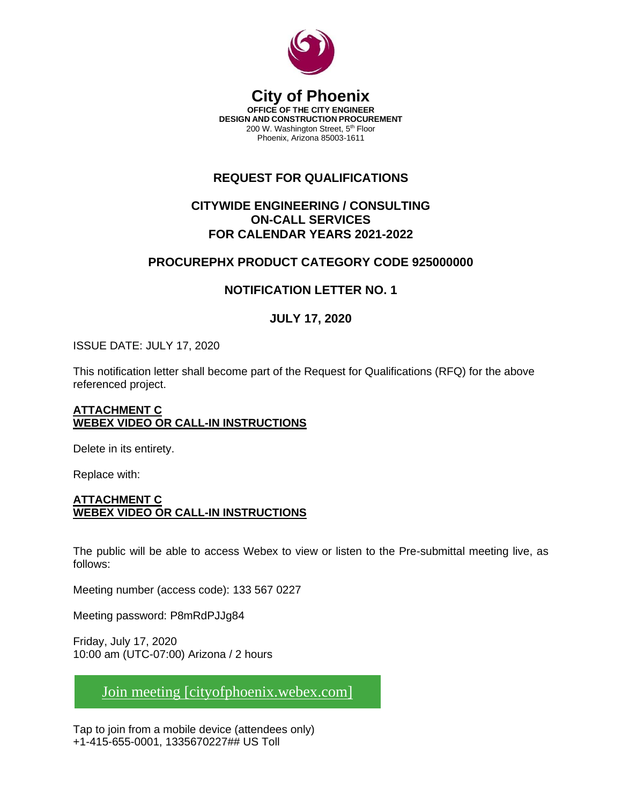

#### **City of Phoenix OFFICE OF THE CITY ENGINEER DESIGN AND CONSTRUCTION PROCUREMENT** 200 W. Washington Street, 5<sup>th</sup> Floor Phoenix, Arizona 85003-1611

# **REQUEST FOR QUALIFICATIONS**

#### **CITYWIDE ENGINEERING / CONSULTING ON-CALL SERVICES FOR CALENDAR YEARS 2021-2022**

## **PROCUREPHX PRODUCT CATEGORY CODE 925000000**

### **NOTIFICATION LETTER NO. 1**

## **JULY 17, 2020**

ISSUE DATE: JULY 17, 2020

This notification letter shall become part of the Request for Qualifications (RFQ) for the above referenced project.

#### **ATTACHMENT C WEBEX VIDEO OR CALL-IN INSTRUCTIONS**

Delete in its entirety.

Replace with:

#### **ATTACHMENT C WEBEX VIDEO OR CALL-IN INSTRUCTIONS**

The public will be able to access Webex to view or listen to the Pre-submittal meeting live, as follows:

Meeting number (access code): 133 567 0227

Meeting password: P8mRdPJJg84

Friday, July 17, 2020 10:00 am (UTC-07:00) Arizona / 2 hours

[Join meeting \[cityofphoenix.webex.com\]](https://urldefense.com/v3/__https:/cityofphoenix.webex.com/cityofphoenix/j.php?MTID=m2a445dab4a583a9fc6877b92856cbf31__;!!LkjWUF49MRd51_ry!LLKQ48d6EsGXvHjGVUFnNwNA8PwBk4afiQVpsRpUSgz0VkabXCUOuhuxYmOFOlSujZWTu5hqOg$)

Tap to join from a mobile device (attendees only) +1-415-655-0001, 1335670227## US Toll